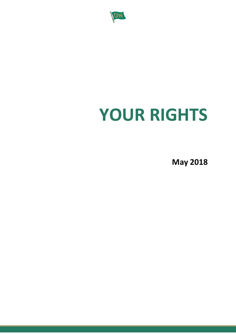

# **YOUR RIGHTS**

**May 2018**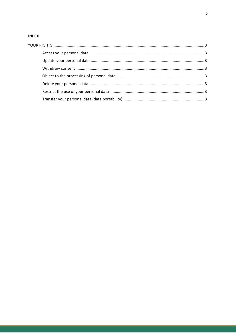#### **INDEX**